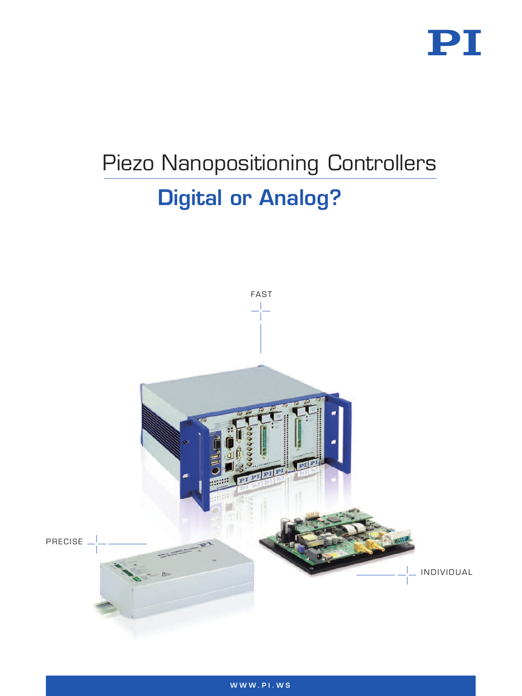

# Piezo Nanopositioning Controllers Digital or Analog?

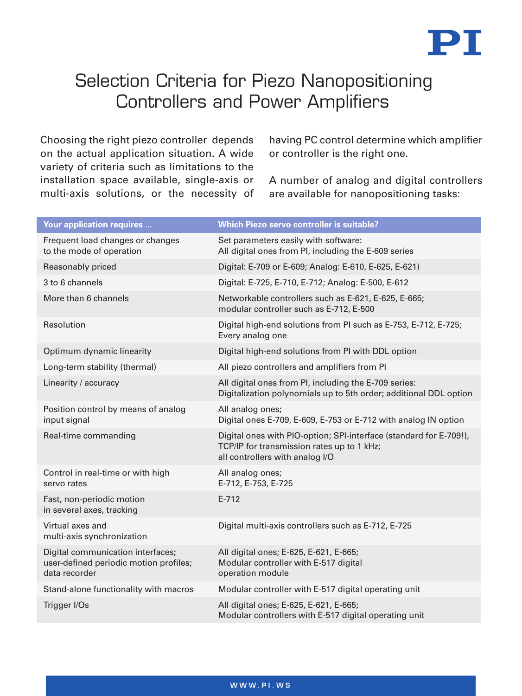

# Selection Criteria for Piezo Nanopositioning Controllers and Power Amplifiers

Choosing the right piezo controller depends on the actual application situation. A wide variety of criteria such as limitations to the installation space available, single-axis or multi-axis solutions, or the necessity of having PC control determine which amplifier or controller is the right one.

A number of analog and digital controllers are available for nanopositioning tasks:

| <b>Your application requires </b>                                                            | <b>Which Piezo servo controller is suitable?</b>                                                                                                    |
|----------------------------------------------------------------------------------------------|-----------------------------------------------------------------------------------------------------------------------------------------------------|
| Frequent load changes or changes<br>to the mode of operation                                 | Set parameters easily with software:<br>All digital ones from PI, including the E-609 series                                                        |
| Reasonably priced                                                                            | Digital: E-709 or E-609; Analog: E-610, E-625, E-621)                                                                                               |
| 3 to 6 channels                                                                              | Digital: E-725, E-710, E-712; Analog: E-500, E-612                                                                                                  |
| More than 6 channels                                                                         | Networkable controllers such as E-621, E-625, E-665;<br>modular controller such as E-712, E-500                                                     |
| Resolution                                                                                   | Digital high-end solutions from PI such as E-753, E-712, E-725;<br>Every analog one                                                                 |
| Optimum dynamic linearity                                                                    | Digital high-end solutions from PI with DDL option                                                                                                  |
| Long-term stability (thermal)                                                                | All piezo controllers and amplifiers from PI                                                                                                        |
| Linearity / accuracy                                                                         | All digital ones from PI, including the E-709 series:<br>Digitalization polynomials up to 5th order; additional DDL option                          |
| Position control by means of analog<br>input signal                                          | All analog ones;<br>Digital ones E-709, E-609, E-753 or E-712 with analog IN option                                                                 |
| Real-time commanding                                                                         | Digital ones with PIO-option; SPI-interface (standard for E-709!),<br>TCP/IP for transmission rates up to 1 kHz;<br>all controllers with analog I/O |
| Control in real-time or with high<br>servo rates                                             | All analog ones;<br>E-712, E-753, E-725                                                                                                             |
| Fast, non-periodic motion<br>in several axes, tracking                                       | $E - 712$                                                                                                                                           |
| Virtual axes and<br>multi-axis synchronization                                               | Digital multi-axis controllers such as E-712, E-725                                                                                                 |
| Digital communication interfaces;<br>user-defined periodic motion profiles;<br>data recorder | All digital ones; E-625, E-621, E-665;<br>Modular controller with E-517 digital<br>operation module                                                 |
| Stand-alone functionality with macros                                                        | Modular controller with E-517 digital operating unit                                                                                                |
| Trigger I/Os                                                                                 | All digital ones; E-625, E-621, E-665;<br>Modular controllers with E-517 digital operating unit                                                     |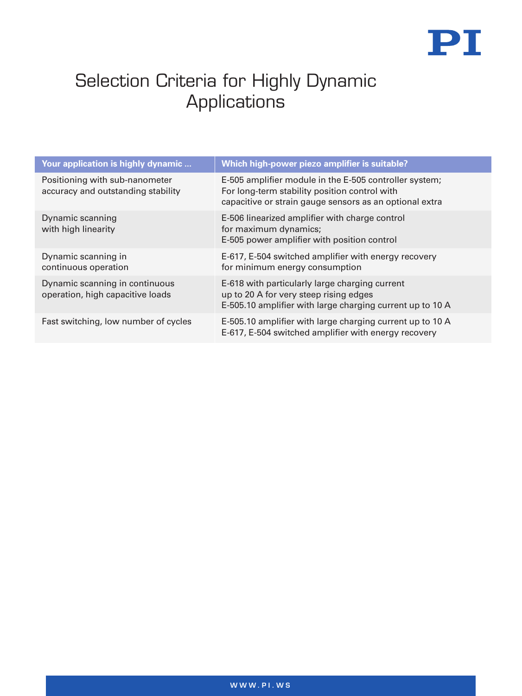

# Selection Criteria for Highly Dynamic **Applications**

| Your application is highly dynamic                                   | Which high-power piezo amplifier is suitable?                                                                                                                      |
|----------------------------------------------------------------------|--------------------------------------------------------------------------------------------------------------------------------------------------------------------|
| Positioning with sub-nanometer<br>accuracy and outstanding stability | E-505 amplifier module in the E-505 controller system;<br>For long-term stability position control with<br>capacitive or strain gauge sensors as an optional extra |
| Dynamic scanning<br>with high linearity                              | E-506 linearized amplifier with charge control<br>for maximum dynamics;<br>E-505 power amplifier with position control                                             |
| Dynamic scanning in<br>continuous operation                          | E-617, E-504 switched amplifier with energy recovery<br>for minimum energy consumption                                                                             |
| Dynamic scanning in continuous<br>operation, high capacitive loads   | E-618 with particularly large charging current<br>up to 20 A for very steep rising edges<br>E-505.10 amplifier with large charging current up to 10 A              |
| Fast switching, low number of cycles                                 | E-505.10 amplifier with large charging current up to 10 A<br>E-617, E-504 switched amplifier with energy recovery                                                  |